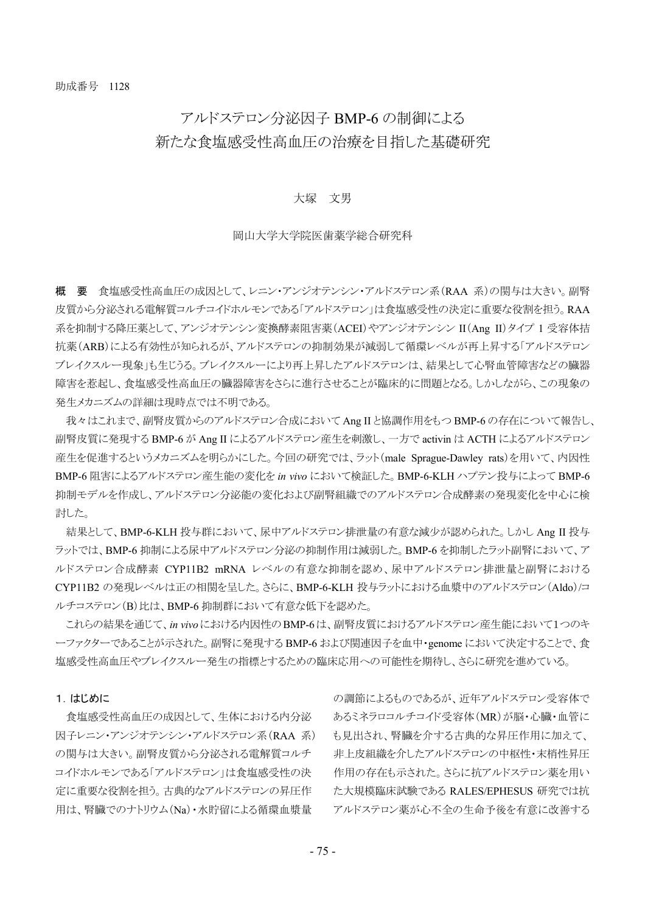## アルドステロン分泌因子 BMP-6 の制御による 新たな食塩感受性高血圧の治療を目指した基礎研究

## 大塚 文男

## 岡山大学大学院医歯薬学総合研究科

概 要 食塩感受性高血圧の成因として、レニン・アンジオテンシン・アルドステロン系(RAA 系)の関与は大きい。副腎 皮質から分泌される電解質コルチコイドホルモンである「アルドステロン」は食塩感受性の決定に重要な役割を担う。RAA 系を抑制する降圧薬として、アンジオテンシン変換酵素阻害薬(ACEI)やアンジオテンシン II(Ang II)タイプ 1 受容体拮 抗薬(ARB)による有効性が知られるが、アルドステロンの抑制効果が減弱して循環レベルが再上昇する「アルドステロン ブレイクスルー現象」も生じうる。ブレイクスルーにより再上昇したアルドステロンは、結果として心腎血管障害などの臓器 障害を惹起し、食塩感受性高血圧の臓器障害をさらに進行させることが臨床的に問題となる。しかしながら、この現象の 発生メカニズムの詳細は現時点では不明である。

我々はこれまで、副腎皮質からのアルドステロン合成において Ang II と協調作用をもつ BMP-6 の存在について報告し、 副腎皮質に発現する BMP-6 が Ang II によるアルドステロン産生を刺激し、一方で activin は ACTH によるアルドステロン 産生を促進するというメカニズムを明らかにした。今回の研究では、ラット(male Sprague-Dawley rats)を用いて、内因性 BMP-6 阻害によるアルドステロン産生能の変化を *in vivo* において検証した。BMP-6-KLH ハプテン投与によって BMP-6 抑制モデルを作成し、アルドステロン分泌能の変化および副腎組織でのアルドステロン合成酵素の発現変化を中心に検 討した。

結果として、BMP-6-KLH 投与群において、尿中アルドステロン排泄量の有意な減少が認められた。しかし Ang II 投与 ラットでは、BMP-6 抑制による尿中アルドステロン分泌の抑制作用は減弱した。BMP-6 を抑制したラット副腎において、ア ルドステロン合成酵素 CYP11B2 mRNA レベルの有意な抑制を認め、尿中アルドステロン排泄量と副腎における CYP11B2 の発現レベルは正の相関を呈した。さらに、BMP-6-KLH 投与ラットにおける血漿中のアルドステロン(Aldo)/コ ルチコステロン(B)比は、BMP-6 抑制群において有意な低下を認めた。

これらの結果を通じて、*in vivo*における内因性のBMP-6は、副腎皮質におけるアルドステロン産生能において1つのキ ーファクターであることが示された。副腎に発現する BMP-6 および関連因子を血中・genome において決定することで、食 塩感受性高血圧やブレイクスルー発生の指標とするための臨床応用への可能性を期待し、さらに研究を進めている。

## 1.はじめに

食塩感受性高血圧の成因として、生体における内分泌 因子レニン・アンジオテンシン・アルドステロン系(RAA 系) の関与は大きい。副腎皮質から分泌される電解質コルチ コイドホルモンである「アルドステロン」は食塩感受性の決 定に重要な役割を担う。古典的なアルドステロンの昇圧作 用は、腎臓でのナトリウム(Na)・水貯留による循環血漿量

の調節によるものであるが、近年アルドステロン受容体で あるミネラロコルチコイド受容体(MR)が脳・心臓・血管に も見出され、腎臓を介する古典的な昇圧作用に加えて、 非上皮組織を介したアルドステロンの中枢性・末梢性昇圧 作用の存在も示された。さらに抗アルドステロン薬を用い た大規模臨床試験である RALES/EPHESUS 研究では抗 アルドステロン薬が心不全の生命予後を有意に改善する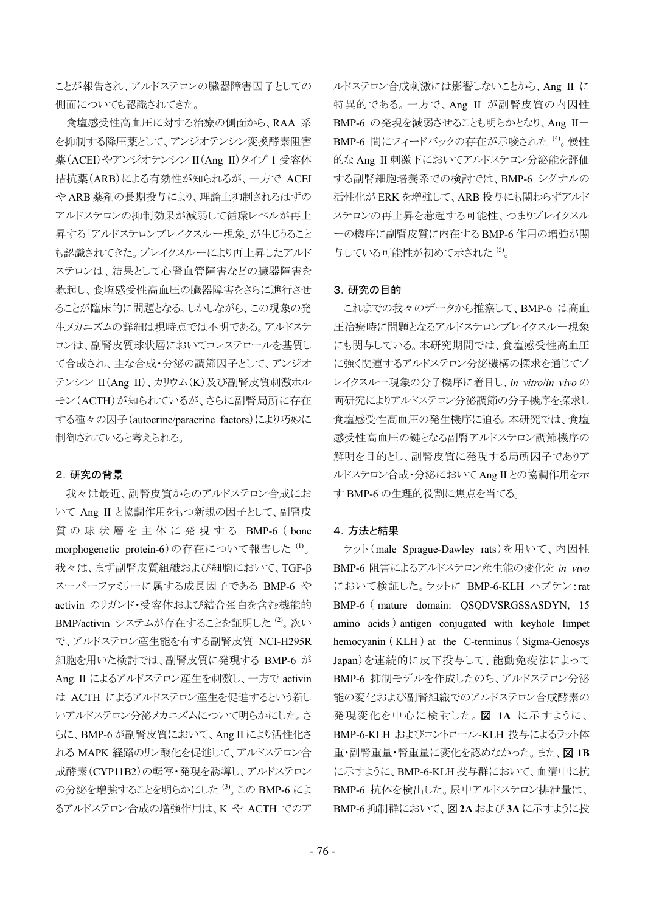ことが報告され、アルドステロンの臓器障害因子としての 側面についても認識されてきた。

食塩感受性高血圧に対する治療の側面から、RAA 系 を抑制する降圧薬として、アンジオテンシン変換酵素阻害 薬(ACEI)やアンジオテンシン II(Ang II)タイプ 1 受容体 拮抗薬(ARB)による有効性が知られるが、一方で ACEI や ARB 薬剤の長期投与により、理論上抑制されるはずの アルドステロンの抑制効果が減弱して循環レベルが再上 昇する「アルドステロンブレイクスルー現象」が生じうること も認識されてきた。ブレイクスルーにより再上昇したアルド ステロンは、結果として心腎血管障害などの臓器障害を 惹起し、食塩感受性高血圧の臓器障害をさらに進行させ ることが臨床的に問題となる。しかしながら、この現象の発 生メカニズムの詳細は現時点では不明である。アルドステ ロンは、副腎皮質球状層においてコレステロールを基質し て合成され、主な合成・分泌の調節因子として、アンジオ テンシン II(Ang II)、カリウム(K)及び副腎皮質刺激ホル モン(ACTH)が知られているが、さらに副腎局所に存在 する種々の因子(autocrine/paracrine factors)により巧妙に 制御されていると考えられる。

#### 2.研究の背景

我々は最近、副腎皮質からのアルドステロン合成にお いて Ang II と協調作用をもつ新規の因子として、副腎皮 質の球状層を主体に発現する BMP-6 ( bone morphogenetic protein-6)の存在について報告した (1)。 我々は、まず副腎皮質組織および細胞において、TGF- スーパーファミリーに属する成長因子である BMP-6 や activin のリガンド・受容体および結合蛋白を含む機能的 BMP/activin システムが存在することを証明した (2) 次い で、アルドステロン産生能を有する副腎皮質 NCI-H295R 細胞を用いた検討では、副腎皮質に発現する BMP-6 が Ang II によるアルドステロン産生を刺激し、一方で activin は ACTH によるアルドステロン産生を促進するという新し いアルドステロン分泌メカニズムについて明らかにした。さ らに、BMP-6 が副腎皮質において、Ang II により活性化さ れる MAPK 経路のリン酸化を促進して、アルドステロン合 成酵素(CYP11B2)の転写・発現を誘導し、アルドステロン の分泌を増強することを明らかにした (3)。この BMP-6 によ るアルドステロン合成の増強作用は、K や ACTH でのア

ルドステロン合成刺激には影響しないことから、Ang II に 特異的である。一方で、Ang II が副腎皮質の内因性 BMP-6 の発現を減弱させることも明らかとなり、Ang II- BMP-6 間にフィードバックの存在が示唆された(4)。慢性 的な Ang II 刺激下においてアルドステロン分泌能を評価 する副腎細胞培養系での検討では、BMP-6 シグナルの 活性化が ERK を増強して、ARB 投与にも関わらずアルド ステロンの再上昇を惹起する可能性、つまりブレイクスル ーの機序に副腎皮質に内在する BMP-6 作用の増強が関 与している可能性が初めて示された (5)。

#### 3.研究の目的

これまでの我々のデータから推察して、BMP-6 は高血 圧治療時に問題となるアルドステロンブレイクスルー現象 にも関与している。本研究期間では、食塩感受性高血圧 に強く関連するアルドステロン分泌機構の探求を通じてブ レイクスルー現象の分子機序に着目し、*in vitro*/*in vivo* の 両研究によりアルドステロン分泌調節の分子機序を探求し 食塩感受性高血圧の発生機序に迫る。本研究では、食塩 感受性高血圧の鍵となる副腎アルドステロン調節機序の 解明を目的とし、副腎皮質に発現する局所因子でありア ルドステロン合成・分泌において Ang II との協調作用を示 す BMP-6 の生理的役割に焦点を当てる。

#### 4.方法と結果

ラット(male Sprague-Dawley rats)を用いて、内因性 BMP-6 阻害によるアルドステロン産生能の変化を *in vivo* において検証した。ラットに BMP-6-KLH ハプテン:rat BMP-6 ( mature domain: QSQDVSRGSSASDYN, 15 amino acids ) antigen conjugated with keyhole limpet hemocyanin (KLH) at the C-terminus (Sigma-Genosys Japan)を連続的に皮下投与して、能動免疫法によって BMP-6 抑制モデルを作成したのち、アルドステロン分泌 能の変化および副腎組織でのアルドステロン合成酵素の 発現変化を中心に検討した。図 **1A** に示すように、 BMP-6-KLH およびコントロール-KLH 投与によるラット体 重・副腎重量・腎重量に変化を認めなかった。また、図 **1B** に示すように、BMP-6-KLH 投与群において、血清中に抗 BMP-6 抗体を検出した。尿中アルドステロン排泄量は、 BMP-6 抑制群において、図 **2A** および **3A** に示すように投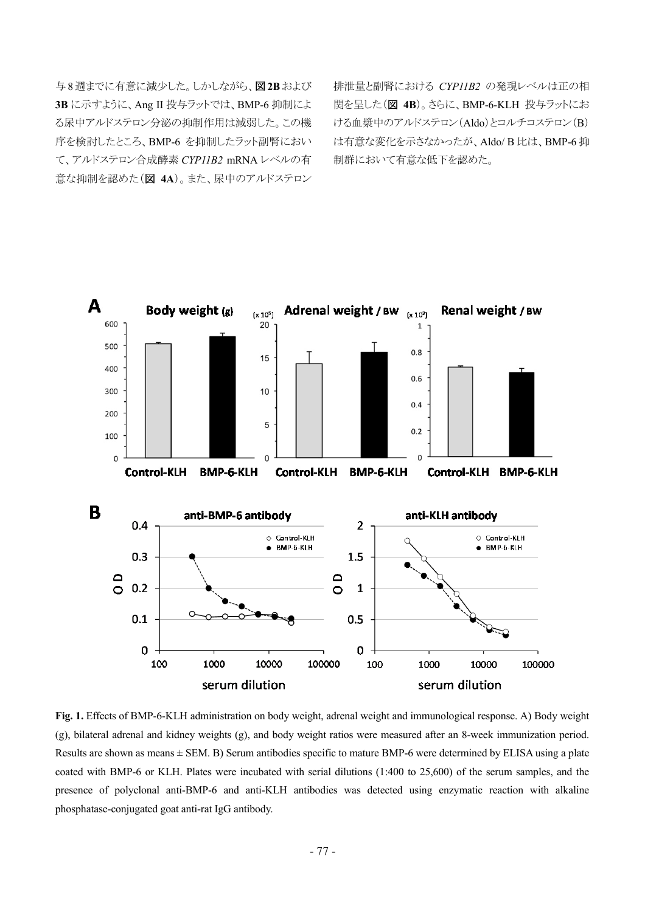与8週までに有意に減少した。しかしながら、図**2B**および **3B** に示すように、Ang II 投与ラットでは、BMP-6 抑制によ る尿中アルドステロン分泌の抑制作用は減弱した。この機 序を検討したところ、BMP-6 を抑制したラット副腎におい て、アルドステロン合成酵素 *CYP11B2* mRNA レベルの有 意な抑制を認めた(図 **4A**)。また、尿中のアルドステロン

排泄量と副腎における *CYP11B2* の発現レベルは正の相 関を呈した(図 **4B**)。さらに、BMP-6-KLH 投与ラットにお ける血漿中のアルドステロン(Aldo)とコルチコステロン(B) は有意な変化を示さなかったが、Aldo/ B 比は、BMP-6 抑 制群において有意な低下を認めた。



**Fig. 1.** Effects of BMP-6-KLH administration on body weight, adrenal weight and immunological response. A) Body weight (g), bilateral adrenal and kidney weights (g), and body weight ratios were measured after an 8-week immunization period. Results are shown as means  $\pm$  SEM. B) Serum antibodies specific to mature BMP-6 were determined by ELISA using a plate coated with BMP-6 or KLH. Plates were incubated with serial dilutions (1:400 to 25,600) of the serum samples, and the presence of polyclonal anti-BMP-6 and anti-KLH antibodies was detected using enzymatic reaction with alkaline phosphatase-conjugated goat anti-rat IgG antibody.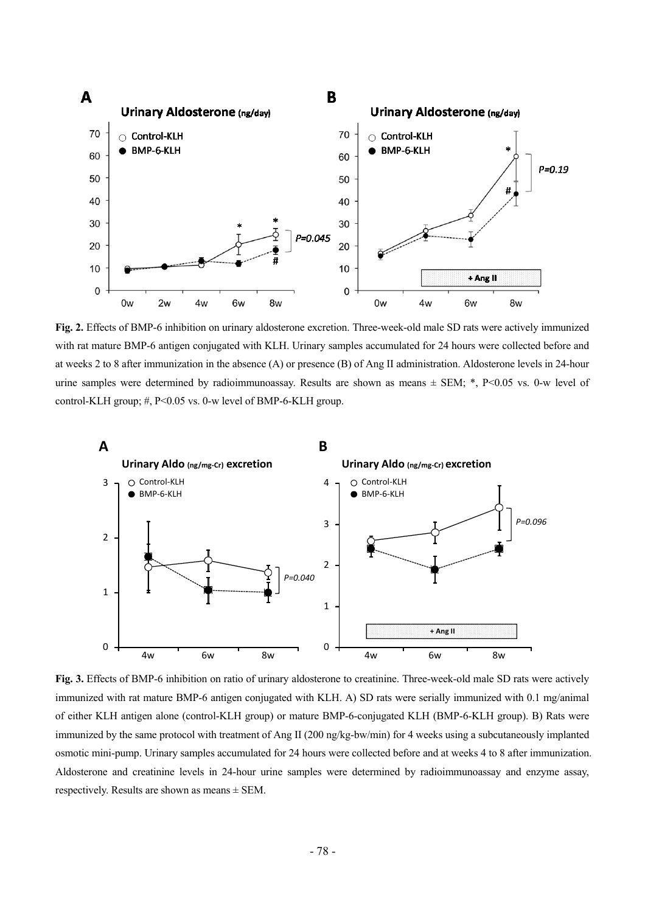

**Fig. 2.** Effects of BMP-6 inhibition on urinary aldosterone excretion. Three-week-old male SD rats were actively immunized with rat mature BMP-6 antigen conjugated with KLH. Urinary samples accumulated for 24 hours were collected before and at weeks 2 to 8 after immunization in the absence (A) or presence (B) of Ang II administration. Aldosterone levels in 24-hour urine samples were determined by radioimmunoassay. Results are shown as means ± SEM; \*, P<0.05 vs. 0-w level of control-KLH group; #, P<0.05 vs. 0-w level of BMP-6-KLH group.



**Fig. 3.** Effects of BMP-6 inhibition on ratio of urinary aldosterone to creatinine. Three-week-old male SD rats were actively immunized with rat mature BMP-6 antigen conjugated with KLH. A) SD rats were serially immunized with 0.1 mg/animal of either KLH antigen alone (control-KLH group) or mature BMP-6-conjugated KLH (BMP-6-KLH group). B) Rats were immunized by the same protocol with treatment of Ang II (200 ng/kg-bw/min) for 4 weeks using a subcutaneously implanted osmotic mini-pump. Urinary samples accumulated for 24 hours were collected before and at weeks 4 to 8 after immunization. Aldosterone and creatinine levels in 24-hour urine samples were determined by radioimmunoassay and enzyme assay, respectively. Results are shown as means  $\pm$  SEM.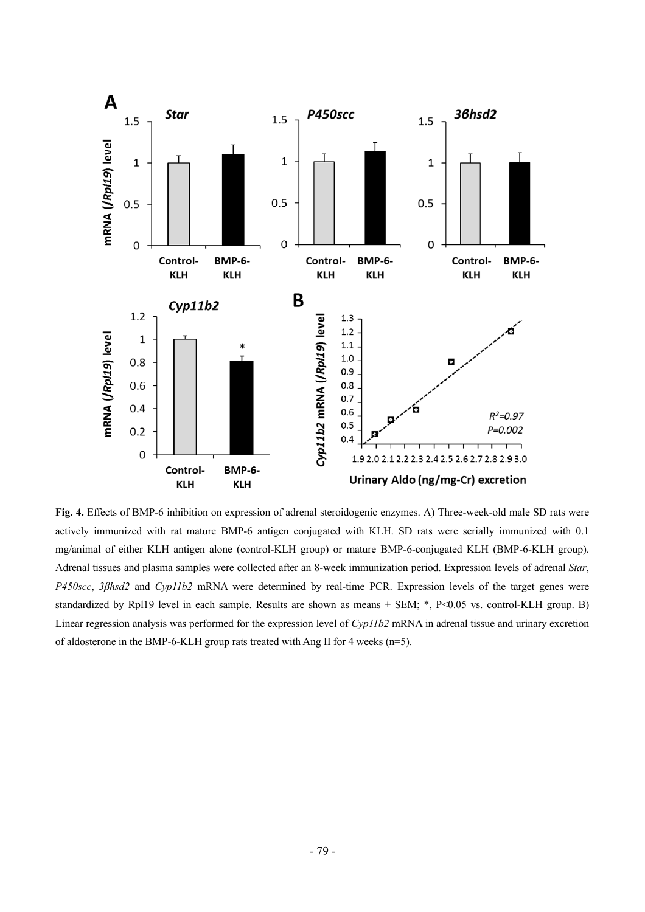

**Fig. 4.** Effects of BMP-6 inhibition on expression of adrenal steroidogenic enzymes. A) Three-week-old male SD rats were actively immunized with rat mature BMP-6 antigen conjugated with KLH. SD rats were serially immunized with 0.1 mg/animal of either KLH antigen alone (control-KLH group) or mature BMP-6-conjugated KLH (BMP-6-KLH group). Adrenal tissues and plasma samples were collected after an 8-week immunization period. Expression levels of adrenal *Star*, *P450scc*, *3βhsd2* and *Cyp11b2* mRNA were determined by real-time PCR. Expression levels of the target genes were standardized by Rpl19 level in each sample. Results are shown as means  $\pm$  SEM; \*, P<0.05 vs. control-KLH group. B) Linear regression analysis was performed for the expression level of *Cyp11b2* mRNA in adrenal tissue and urinary excretion of aldosterone in the BMP-6-KLH group rats treated with Ang II for 4 weeks (n=5).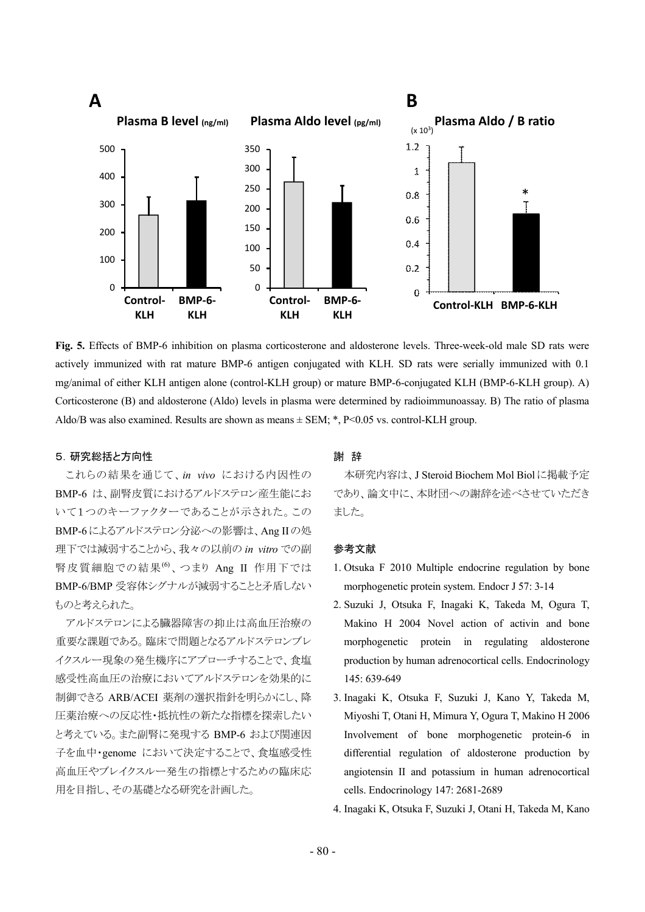

**Fig. 5.** Effects of BMP-6 inhibition on plasma corticosterone and aldosterone levels. Three-week-old male SD rats were actively immunized with rat mature BMP-6 antigen conjugated with KLH. SD rats were serially immunized with 0.1 mg/animal of either KLH antigen alone (control-KLH group) or mature BMP-6-conjugated KLH (BMP-6-KLH group). A) Corticosterone (B) and aldosterone (Aldo) levels in plasma were determined by radioimmunoassay. B) The ratio of plasma Aldo/B was also examined. Results are shown as means  $\pm$  SEM; \*, P<0.05 vs. control-KLH group.

## 5.研究総括と方向性

これらの結果を通じて、*in vivo* における内因性の BMP-6 は、副腎皮質におけるアルドステロン産生能にお いて1つのキーファクターであることが示された。この BMP-6によるアルドステロン分泌への影響は、Ang IIの処 理下では減弱することから、我々の以前の *in vitro* での副 腎皮質細胞での結果<sup>(6)</sup>、つまり Ang Ⅱ 作用下では BMP-6/BMP 受容体シグナルが減弱することと矛盾しない ものと考えられた。

アルドステロンによる臓器障害の抑止は高血圧治療の 重要な課題である。臨床で問題となるアルドステロンブレ イクスルー現象の発生機序にアプローチすることで、食塩 感受性高血圧の治療においてアルドステロンを効果的に 制御できる ARB/ACEI 薬剤の選択指針を明らかにし、降 圧薬治療への反応性・抵抗性の新たな指標を探索したい と考えている。また副腎に発現する BMP-6 および関連因 子を血中・genome において決定することで、食塩感受性 高血圧やブレイクスルー発生の指標とするための臨床応 用を目指し、その基礎となる研究を計画した。

## 謝 辞

本研究内容は、J Steroid Biochem Mol Biolに掲載予定 であり、論文中に、本財団への謝辞を述べさせていただき ました。

### 参考文献

- 1. Otsuka F 2010 Multiple endocrine regulation by bone morphogenetic protein system. Endocr J 57: 3-14
- 2. Suzuki J, Otsuka F, Inagaki K, Takeda M, Ogura T, Makino H 2004 Novel action of activin and bone morphogenetic protein in regulating aldosterone production by human adrenocortical cells. Endocrinology 145: 639-649
- 3. Inagaki K, Otsuka F, Suzuki J, Kano Y, Takeda M, Miyoshi T, Otani H, Mimura Y, Ogura T, Makino H 2006 Involvement of bone morphogenetic protein-6 in differential regulation of aldosterone production by angiotensin II and potassium in human adrenocortical cells. Endocrinology 147: 2681-2689
- 4. Inagaki K, Otsuka F, Suzuki J, Otani H, Takeda M, Kano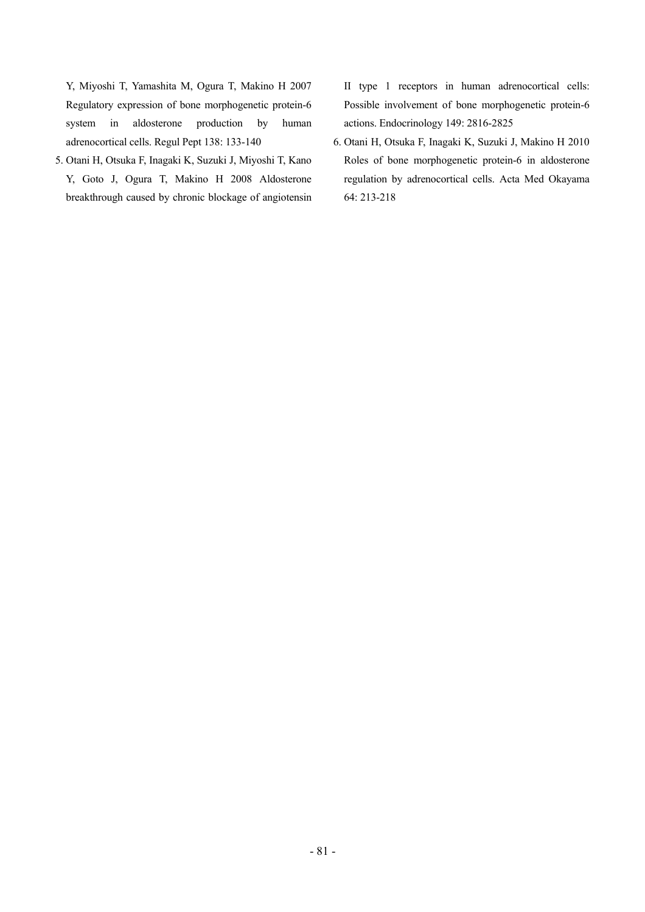Y, Miyoshi T, Yamashita M, Ogura T, Makino H 2007 Regulatory expression of bone morphogenetic protein-6 system in aldosterone production by human adrenocortical cells. Regul Pept 138: 133-140

5. Otani H, Otsuka F, Inagaki K, Suzuki J, Miyoshi T, Kano Y, Goto J, Ogura T, Makino H 2008 Aldosterone breakthrough caused by chronic blockage of angiotensin II type 1 receptors in human adrenocortical cells: Possible involvement of bone morphogenetic protein-6 actions. Endocrinology 149: 2816-2825

6. Otani H, Otsuka F, Inagaki K, Suzuki J, Makino H 2010 Roles of bone morphogenetic protein-6 in aldosterone regulation by adrenocortical cells. Acta Med Okayama 64: 213-218